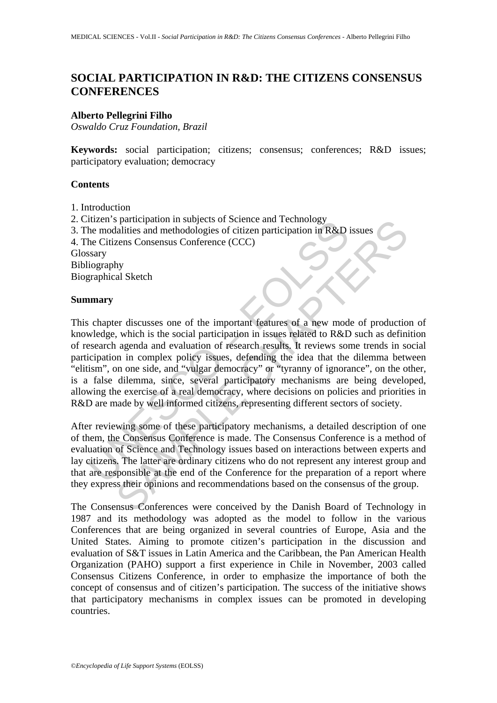# **SOCIAL PARTICIPATION IN R&D: THE CITIZENS CONSENSUS CONFERENCES**

### **Alberto Pellegrini Filho**

*Oswaldo Cruz Foundation, Brazil* 

**Keywords:** social participation; citizens; consensus; conferences; R&D issues; participatory evaluation; democracy

### **Contents**

- 1. Introduction
- 2. Citizen's participation in subjects of Science and Technology
- 3. The modalities and methodologies of citizen participation in R&D issues
- 4. The Citizens Consensus Conference (CCC)

Glossary

Bibliography

Biographical Sketch

#### **Summary**

The match multiers and methodologies of science and recinology<br>the modalities and methodologies of citizen participation in R&D is<br>the Citizens Consensus Conference (CCC)<br>the Citizens Consensus Conference (CCC)<br>search agen participation in subjects of scene and ieconomy<br>alatties and methodologies of citzen participation in R&D issues<br>Zens Consensus Conference (CCC)<br>And Sketch<br>serves Consensus Conference (CCC)<br>and Sketch<br>serves consensus Conf This chapter discusses one of the important features of a new mode of production of knowledge, which is the social participation in issues related to R&D such as definition of research agenda and evaluation of research results. It reviews some trends in social participation in complex policy issues, defending the idea that the dilemma between "elitism", on one side, and "vulgar democracy" or "tyranny of ignorance", on the other, is a false dilemma, since, several participatory mechanisms are being developed, allowing the exercise of a real democracy, where decisions on policies and priorities in R&D are made by well informed citizens, representing different sectors of society.

After reviewing some of these participatory mechanisms, a detailed description of one of them, the Consensus Conference is made. The Consensus Conference is a method of evaluation of Science and Technology issues based on interactions between experts and lay citizens. The latter are ordinary citizens who do not represent any interest group and that are responsible at the end of the Conference for the preparation of a report where they express their opinions and recommendations based on the consensus of the group.

The Consensus Conferences were conceived by the Danish Board of Technology in 1987 and its methodology was adopted as the model to follow in the various Conferences that are being organized in several countries of Europe, Asia and the United States. Aiming to promote citizen's participation in the discussion and evaluation of S&T issues in Latin America and the Caribbean, the Pan American Health Organization (PAHO) support a first experience in Chile in November, 2003 called Consensus Citizens Conference, in order to emphasize the importance of both the concept of consensus and of citizen's participation. The success of the initiative shows that participatory mechanisms in complex issues can be promoted in developing countries.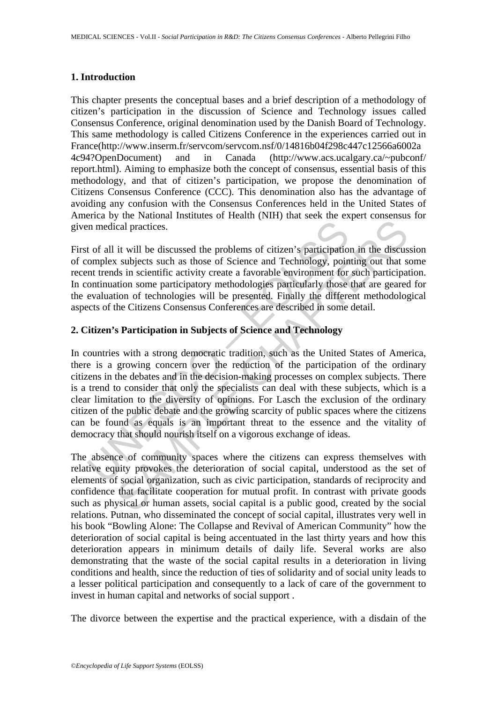### **1. Introduction**

This chapter presents the conceptual bases and a brief description of a methodology of citizen's participation in the discussion of Science and Technology issues called Consensus Conference, original denomination used by the Danish Board of Technology. This same methodology is called Citizens Conference in the experiences carried out in France(http://www.inserm.fr/servcom/servcom.nsf/0/14816b04f298c447c12566a6002a 4c94?OpenDocument) and in Canada (http://www.acs.ucalgary.ca/~pubconf/ report.html). Aiming to emphasize both the concept of consensus, essential basis of this methodology, and that of citizen's participation, we propose the denomination of Citizens Consensus Conference (CCC). This denomination also has the advantage of avoiding any confusion with the Consensus Conferences held in the United States of America by the National Institutes of Health (NIH) that seek the expert consensus for given medical practices.

First of all it will be discussed the problems of citizen's participation in the discussion of complex subjects such as those of Science and Technology, pointing out that some recent trends in scientific activity create a favorable environment for such participation. In continuation some participatory methodologies particularly those that are geared for the evaluation of technologies will be presented. Finally the different methodological aspects of the Citizens Consensus Conferences are described in some detail.

## **2. Citizen's Participation in Subjects of Science and Technology**

In medical practices.<br>
to f all it will be discussed the problems of citizen's participation<br>
omplex subjects such as those of Science and Technology, point<br>
not trends in scientific activity create a favorable environment cal practices.<br>
it will be discussed the problems of citizen's participation in the discussed subjects such as those of Science and Technology, pointing out that s<br>
is in scientific activity create a favorable environment In countries with a strong democratic tradition, such as the United States of America, there is a growing concern over the reduction of the participation of the ordinary citizens in the debates and in the decision-making processes on complex subjects. There is a trend to consider that only the specialists can deal with these subjects, which is a clear limitation to the diversity of opinions. For Lasch the exclusion of the ordinary citizen of the public debate and the growing scarcity of public spaces where the citizens can be found as equals is an important threat to the essence and the vitality of democracy that should nourish itself on a vigorous exchange of ideas.

The absence of community spaces where the citizens can express themselves with relative equity provokes the deterioration of social capital, understood as the set of elements of social organization, such as civic participation, standards of reciprocity and confidence that facilitate cooperation for mutual profit. In contrast with private goods such as physical or human assets, social capital is a public good, created by the social relations. Putnan, who disseminated the concept of social capital, illustrates very well in his book "Bowling Alone: The Collapse and Revival of American Community" how the deterioration of social capital is being accentuated in the last thirty years and how this deterioration appears in minimum details of daily life. Several works are also demonstrating that the waste of the social capital results in a deterioration in living conditions and health, since the reduction of ties of solidarity and of social unity leads to a lesser political participation and consequently to a lack of care of the government to invest in human capital and networks of social support .

The divorce between the expertise and the practical experience, with a disdain of the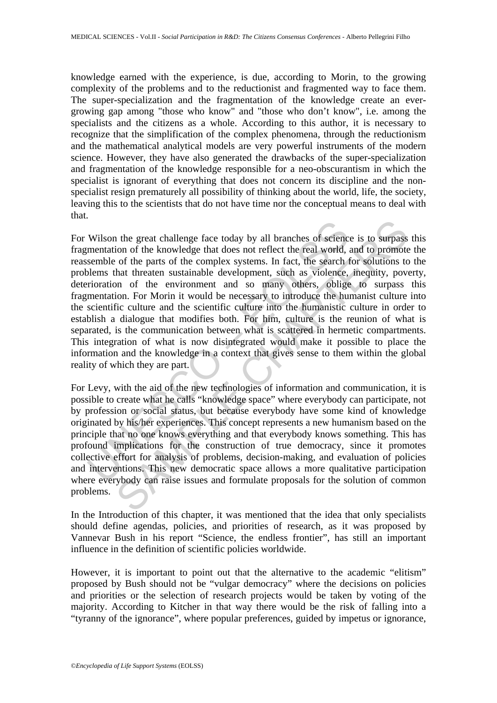knowledge earned with the experience, is due, according to Morin, to the growing complexity of the problems and to the reductionist and fragmented way to face them. The super-specialization and the fragmentation of the knowledge create an evergrowing gap among "those who know" and "those who don't know", i.e. among the specialists and the citizens as a whole. According to this author, it is necessary to recognize that the simplification of the complex phenomena, through the reductionism and the mathematical analytical models are very powerful instruments of the modern science. However, they have also generated the drawbacks of the super-specialization and fragmentation of the knowledge responsible for a neo-obscurantism in which the specialist is ignorant of everything that does not concern its discipline and the nonspecialist resign prematurely all possibility of thinking about the world, life, the society, leaving this to the scientists that do not have time nor the conceptual means to deal with that.

Wilson the great challenge face today by all branches of science<br>mentation of the knowledge that does not reflect the real world, is<br>emble of the parts of the complex systems. In fact, the search the<br>olems that threaten su In the great challenge face today by all branches of science is to surpass<br>ion of the knowledge that does not reflect the real world, and to promote<br>of the parts of the complex systems. In fact, the search for solutions to For Wilson the great challenge face today by all branches of science is to surpass this fragmentation of the knowledge that does not reflect the real world, and to promote the reassemble of the parts of the complex systems. In fact, the search for solutions to the problems that threaten sustainable development, such as violence, inequity, poverty, deterioration of the environment and so many others, oblige to surpass this fragmentation. For Morin it would be necessary to introduce the humanist culture into the scientific culture and the scientific culture into the humanistic culture in order to establish a dialogue that modifies both. For him, culture is the reunion of what is separated, is the communication between what is scattered in hermetic compartments. This integration of what is now disintegrated would make it possible to place the information and the knowledge in a context that gives sense to them within the global reality of which they are part.

For Levy, with the aid of the new technologies of information and communication, it is possible to create what he calls "knowledge space" where everybody can participate, not by profession or social status, but because everybody have some kind of knowledge originated by his/her experiences. This concept represents a new humanism based on the principle that no one knows everything and that everybody knows something. This has profound implications for the construction of true democracy, since it promotes collective effort for analysis of problems, decision-making, and evaluation of policies and interventions. This new democratic space allows a more qualitative participation where everybody can raise issues and formulate proposals for the solution of common problems.

In the Introduction of this chapter, it was mentioned that the idea that only specialists should define agendas, policies, and priorities of research, as it was proposed by Vannevar Bush in his report "Science, the endless frontier", has still an important influence in the definition of scientific policies worldwide.

However, it is important to point out that the alternative to the academic "elitism" proposed by Bush should not be "vulgar democracy" where the decisions on policies and priorities or the selection of research projects would be taken by voting of the majority. According to Kitcher in that way there would be the risk of falling into a "tyranny of the ignorance", where popular preferences, guided by impetus or ignorance,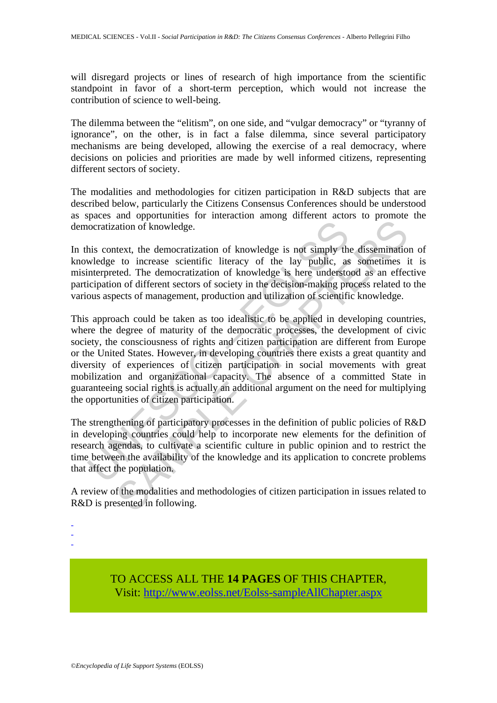will disregard projects or lines of research of high importance from the scientific standpoint in favor of a short-term perception, which would not increase the contribution of science to well-being.

The dilemma between the "elitism", on one side, and "vulgar democracy" or "tyranny of ignorance", on the other, is in fact a false dilemma, since several participatory mechanisms are being developed, allowing the exercise of a real democracy, where decisions on policies and priorities are made by well informed citizens, representing different sectors of society.

The modalities and methodologies for citizen participation in R&D subjects that are described below, particularly the Citizens Consensus Conferences should be understood as spaces and opportunities for interaction among different actors to promote the democratization of knowledge.

In this context, the democratization of knowledge is not simply the dissemination of knowledge to increase scientific literacy of the lay public, as sometimes it is misinterpreted. The democratization of knowledge is here understood as an effective participation of different sectors of society in the decision-making process related to the various aspects of management, production and utilization of scientific knowledge.

nocratization of knowledge.<br>
Inis context, the democratization of knowledge is not simply the<br>
weledge to increase scientific literacy of the lay public, as<br>
interpreted. The democratization of knowledge is here understo<br> ation of knowledge.<br>
ation of knowledge is not simply the dissemination of knowledge.<br>
thext, the democratization of knowledge is not simply the disseminatio<br>
to increase scientific literacy of the lay public, as sometimes This approach could be taken as too idealistic to be applied in developing countries, where the degree of maturity of the democratic processes, the development of civic society, the consciousness of rights and citizen participation are different from Europe or the United States. However, in developing countries there exists a great quantity and diversity of experiences of citizen participation in social movements with great mobilization and organizational capacity. The absence of a committed State in guaranteeing social rights is actually an additional argument on the need for multiplying the opportunities of citizen participation.

The strengthening of participatory processes in the definition of public policies of R&D in developing countries could help to incorporate new elements for the definition of research agendas, to cultivate a scientific culture in public opinion and to restrict the time between the availability of the knowledge and its application to concrete problems that affect the population.

A review of the modalities and methodologies of citizen participation in issues related to R&D is presented in following.

- -

-

TO ACCESS ALL THE **14 PAGES** OF THIS CHAPTER, Visit[: http://www.eolss.net/Eolss-sampleAllChapter.aspx](https://www.eolss.net/ebooklib/sc_cart.aspx?File=E6-59-19-00)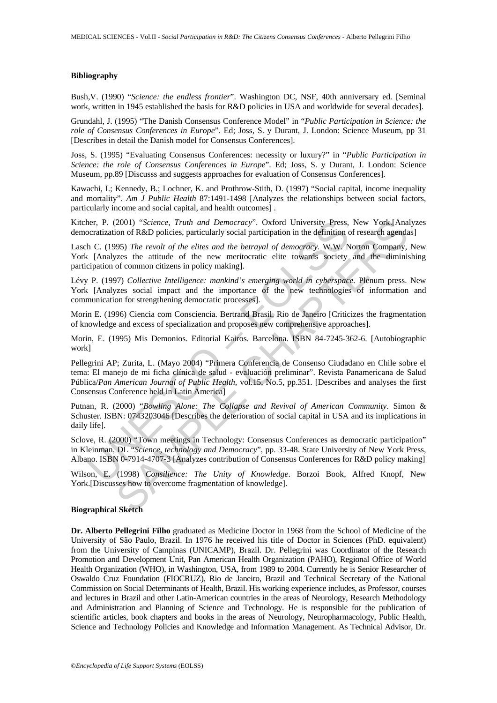#### **Bibliography**

Bush,V. (1990) "*Science: the endless frontier*". Washington DC, NSF, 40th anniversary ed. [Seminal work, written in 1945 established the basis for R&D policies in USA and worldwide for several decades].

Grundahl, J. (1995) "The Danish Consensus Conference Model" in "*Public Participation in Science: the role of Consensus Conferences in Europe*". Ed; Joss, S. y Durant, J. London: Science Museum, pp 31 [Describes in detail the Danish model for Consensus Conferences].

Joss, S. (1995) "Evaluating Consensus Conferences: necessity or luxury?" in "*Public Participation in Science: the role of Consensus Conferences in Europe*". Ed; Joss, S. y Durant, J. London: Science Museum, pp.89 [Discusss and suggests approaches for evaluation of Consensus Conferences].

Kawachi, I.; Kennedy, B.; Lochner, K. and Prothrow-Stith, D. (1997) "Social capital, income inequality and mortality". *Am J Public Health* 87:1491-1498 [Analyzes the relationships between social factors, particularly income and social capital, and health outcomes] .

Kitcher, P. (2001) "*Science, Truth and Democracy*". Oxford University Press, New York.[Analyzes democratization of R&D policies, particularly social participation in the definition of research agendas]

Lasch C. (1995) *The revolt of the elites and the betrayal of democracy.* W.W. Norton Company, New York [Analyzes the attitude of the new meritocratic elite towards society and the diminishing participation of common citizens in policy making].

Lévy P. (1997) *Collective Intelligence: mankind's emerging world in cyberspace*. Plenum press. New York [Analyzes social impact and the importance of the new technologies of information and communication for strengthening democratic processes].

Morin E. (1996) Ciencia com Consciencia. Bertrand Brasil, Rio de Janeiro [Criticizes the fragmentation of knowledge and excess of specialization and proposes new comprehensive approaches].

Morin, E. (1995) Mis Demonios. Editorial Kairos. Barcelona. ISBN 84-7245-362-6. [Autobiographic work]

eratization of R&D policies, *Truth and Democracy*". Oxford University Press,<br>ocratization of R&D policies, particularly social participation in the definition of<br>C. (1995) The revolt of the elites and the betrayal of demo 2001) "Science, Truth and Democracy". Oxford University Press, New York [Anaon of R&D policies, particularly social particularion in the definition of research agends<br>1600 of R&D policies, particularly social particularion Pellegrini AP; Zurita, L. (Mayo 2004) "Primera Conferencia de Consenso Ciudadano en Chile sobre el tema: El manejo de mi ficha clínica de salud - evaluación preliminar". Revista Panamericana de Salud Pública/*Pan American Journal of Public Health*, vol.15, No.5, pp.351. [Describes and analyses the first Consensus Conference held in Latin America]

Putnan, R. (2000) "*Bowling Alone: The Collapse and Revival of American Community*. Simon & Schuster. ISBN: 0743203046 [Describes the deterioration of social capital in USA and its implications in daily life].

Sclove, R. (2000) "Town meetings in Technology: Consensus Conferences as democratic participation" in Kleinman, DL "*Science, technology and Democracy*", pp. 33-48. State University of New York Press, Albano. ISBN 0-7914-4707-3 [Analyzes contribution of Consensus Conferences for R&D policy making]

Wilson, E. (1998) *Consilience: The Unity of Knowledge*. Borzoi Book, Alfred Knopf, New York.[Discusses how to overcome fragmentation of knowledge].

#### **Biographical Sketch**

**Dr. Alberto Pellegrini Filho** graduated as Medicine Doctor in 1968 from the School of Medicine of the University of São Paulo, Brazil. In 1976 he received his title of Doctor in Sciences (PhD. equivalent) from the University of Campinas (UNICAMP), Brazil. Dr. Pellegrini was Coordinator of the Research Promotion and Development Unit, Pan American Health Organization (PAHO), Regional Office of World Health Organization (WHO), in Washington, USA, from 1989 to 2004. Currently he is Senior Researcher of Oswaldo Cruz Foundation (FIOCRUZ), Rio de Janeiro, Brazil and Technical Secretary of the National Commission on Social Determinants of Health, Brazil. His working experience includes, as Professor, courses and lectures in Brazil and other Latin-American countries in the areas of Neurology, Research Methodology and Administration and Planning of Science and Technology. He is responsible for the publication of scientific articles, book chapters and books in the areas of Neurology, Neuropharmacology, Public Health, Science and Technology Policies and Knowledge and Information Management. As Technical Advisor, Dr.